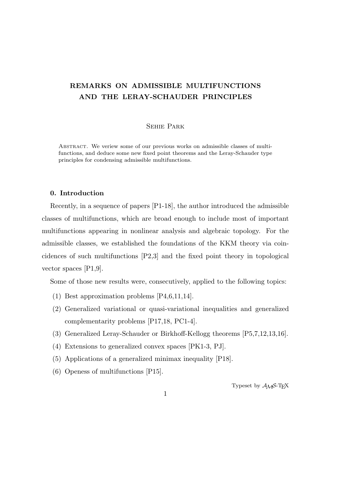# **REMARKS ON ADMISSIBLE MULTIFUNCTIONS AND THE LERAY-SCHAUDER PRINCIPLES**

## Sehie Park

Abstract. We veriew some of our previous works on admissible classes of multifunctions, and deduce some new fixed point theorems and the Leray-Schauder type principles for condensing admissible multifunctions.

## **0. Introduction**

Recently, in a sequence of papers [P1-18], the author introduced the admissible classes of multifunctions, which are broad enough to include most of important multifunctions appearing in nonlinear analysis and algebraic topology. For the admissible classes, we established the foundations of the KKM theory via coincidences of such multifunctions [P2,3] and the fixed point theory in topological vector spaces [P1,9].

Some of those new results were, consecutively, applied to the following topics:

- (1) Best approximation problems [P4,6,11,14].
- (2) Generalized variational or quasi-variational inequalities and generalized complementarity problems [P17,18, PC1-4].
- (3) Generalized Leray-Schauder or Birkhoff-Kellogg theorems [P5,7,12,13,16].
- (4) Extensions to generalized convex spaces [PK1-3, PJ].
- (5) Applications of a generalized minimax inequality [P18].
- (6) Openess of multifunctions [P15].

Typeset by  $\mathcal{A}_{\mathcal{M}}\mathcal{S}\text{-}\mathrm{Tr}X$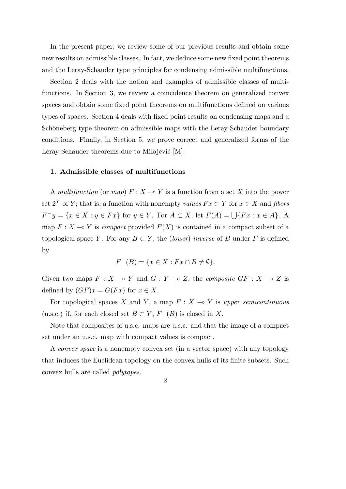In the present paper, we review some of our previous results and obtain some new results on admissible classes. In fact, we deduce some new fixed point theorems and the Leray-Schauder type principles for condensing admissible multifunctions.

Section 2 deals with the notion and examples of admissible classes of multifunctions. In Section 3, we review a coincidence theorem on generalized convex spaces and obtain some fixed point theorems on multifunctions defined on various types of spaces. Section 4 deals with fixed point results on condensing maps and a Schöneberg type theorem on admissible maps with the Leray-Schauder boundary conditions. Finally, in Section 5, we prove correct and generalized forms of the Leray-Schauder theorems due to Milojević [M].

#### **1. Admissible classes of multifunctions**

A *multifunction* (or *map*)  $F: X \to Y$  is a function from a set X into the power set  $2^Y$  of *Y*; that is, a function with nonempty *values*  $Fx \subset Y$  for  $x \in X$  and *fibers*  $F^-y = \{x \in X : y \in Fx\}$  for  $y \in Y$ . For  $A \subset X$ , let  $F(A) = \bigcup \{Fx : x \in A\}$ . A map  $F: X \to Y$  is *compact* provided  $F(X)$  is contained in a compact subset of a topological space *Y*. For any  $B \subset Y$ , the (*lower*) *inverse* of *B* under *F* is defined by

$$
F^{-}(B) = \{ x \in X : Fx \cap B \neq \emptyset \}.
$$

Given two maps  $F: X \to Y$  and  $G: Y \to Z$ , the *composite*  $GF: X \to Z$  is defined by  $(GF)x = G(Fx)$  for  $x \in X$ .

For topological spaces *X* and *Y*, a map  $F: X \to Y$  is *upper semicontinuous* (u.s.c.) if, for each closed set  $B \subset Y$ ,  $F^{-}(B)$  is closed in *X*.

Note that composites of u.s.c. maps are u.s.c. and that the image of a compact set under an u.s.c. map with compact values is compact.

A *convex space* is a nonempty convex set (in a vector space) with any topology that induces the Euclidean topology on the convex hulls of its finite subsets. Such convex hulls are called *polytopes*.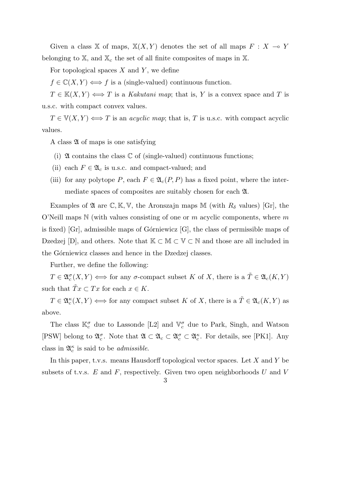Given a class X of maps,  $X(X, Y)$  denotes the set of all maps  $F: X \to Y$ belonging to  $X$ , and  $X_c$  the set of all finite composites of maps in  $X$ .

For topological spaces *X* and *Y* , we define

 $f \in \mathbb{C}(X, Y) \Longleftrightarrow f$  is a (single-valued) continuous function.

 $T \in K(X, Y) \Longleftrightarrow T$  is a *Kakutani map*; that is, *Y* is a convex space and *T* is u.s.c. with compact convex values.

 $T \in V(X, Y) \Longleftrightarrow T$  is an *acyclic map*; that is, *T* is u.s.c. with compact acyclic values.

A class  $\mathfrak A$  of maps is one satisfying

- (i)  $\mathfrak A$  contains the class  $\mathbb C$  of (single-valued) continuous functions;
- (ii) each  $F \in \mathfrak{A}_c$  is u.s.c. and compact-valued; and
- (iii) for any polytope *P*, each  $F \in \mathfrak{A}_c(P, P)$  has a fixed point, where the intermediate spaces of composites are suitably chosen for each A.

Examples of  $\mathfrak A$  are  $\mathbb C, \mathbb K, \mathbb V$ , the Aronszajn maps M (with  $R_\delta$  values) [Gr], the O'Neill maps N (with values consisting of one or *m* acyclic components, where *m* is fixed) [Gr], admissible maps of Górniewicz  $[G]$ , the class of permissible maps of Dzedzej [D], and others. Note that  $K \subset M \subset V \subset N$  and those are all included in the Górniewicz classes and hence in the Dzedzej classes.

Further, we define the following:

 $T \in \mathfrak{A}_c^{\sigma}(X, Y) \iff \text{for any } \sigma\text{-compact subset } K \text{ of } X, \text{ there is a } \tilde{T} \in \mathfrak{A}_c(K, Y)$ such that  $\tilde{T}x \subset Tx$  for each  $x \in K$ .

 $T \in \mathfrak{A}_c^{\kappa}(X, Y) \iff \text{for any compact subset } K \text{ of } X, \text{ there is a } \tilde{T} \in \mathfrak{A}_c(K, Y) \text{ as }$ above.

The class  $\mathbb{K}_c^{\sigma}$  due to Lassonde [L2] and  $\mathbb{V}_c^{\sigma}$  due to Park, Singh, and Watson [PSW] belong to  $\mathfrak{A}_{c}^{\sigma}$ . Note that  $\mathfrak{A} \subset \mathfrak{A}_{c} \subset \mathfrak{A}_{c}^{\sigma} \subset \mathfrak{A}_{c}^{\kappa}$ . For details, see [PK1]. Any class in  $\mathfrak{A}_{c}^{\kappa}$  is said to be *admissible*.

In this paper, t.v.s. means Hausdorff topological vector spaces. Let *X* and *Y* be subsets of t.v.s. *E* and *F*, respectively. Given two open neighborhoods *U* and *V*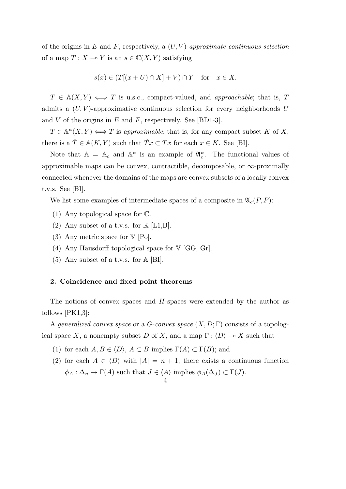of the origins in *E* and *F*, respectively, a (*U, V* )-*approximate continuous selection* of a map  $T: X \to Y$  is an  $s \in \mathbb{C}(X, Y)$  satisfying

$$
s(x) \in (T[(x+U) \cap X] + V) \cap Y \quad \text{for} \quad x \in X.
$$

 $T \in A(X, Y) \iff T$  is u.s.c., compact-valued, and *approachable*; that is, *T* admits a (*U, V* )-approximative continuous selection for every neighborhoods *U* and *V* of the origins in *E* and *F*, respectively. See [BD1-3].

 $T \in \mathbb{A}^{\kappa}(X, Y) \iff T$  is *approximable*; that is, for any compact subset *K* of *X*, there is a  $\tilde{T} \in A(K, Y)$  such that  $\tilde{T} x \subset Tx$  for each  $x \in K$ . See [BI].

Note that  $A = A_c$  and  $A^{\kappa}$  is an example of  $\mathfrak{A}_c^{\kappa}$ . The functional values of approximable maps can be convex, contractible, decomposable, or  $\infty$ -proximally connected whenever the domains of the maps are convex subsets of a locally convex t.v.s. See [BI].

We list some examples of intermediate spaces of a composite in  $\mathfrak{A}_{c}(P, P)$ :

- (1) Any topological space for C.
- (2) Any subset of a t.v.s. for  $K$  [L1,B].
- (3) Any metric space for  $V$  [Po].
- (4) Any Hausdorff topological space for  $V$  [GG, Gr].
- (5) Any subset of a t.v.s. for A [BI].

#### **2. Coincidence and fixed point theorems**

The notions of convex spaces and *H*-spaces were extended by the author as follows [PK1,3]:

A *generalized convex space* or a *G*-*convex space* (*X, D*; Γ) consists of a topological space *X*, a nonempty subset *D* of *X*, and a map  $\Gamma : \langle D \rangle \longrightarrow X$  such that

- (1) for each  $A, B \in \langle D \rangle$ ,  $A \subset B$  implies  $\Gamma(A) \subset \Gamma(B)$ ; and
- (2) for each  $A \in \langle D \rangle$  with  $|A| = n + 1$ , there exists a continuous function  $\phi_A : \Delta_n \to \Gamma(A)$  such that  $J \in \langle A \rangle$  implies  $\phi_A(\Delta_J) \subset \Gamma(J)$ .

$$
4\,
$$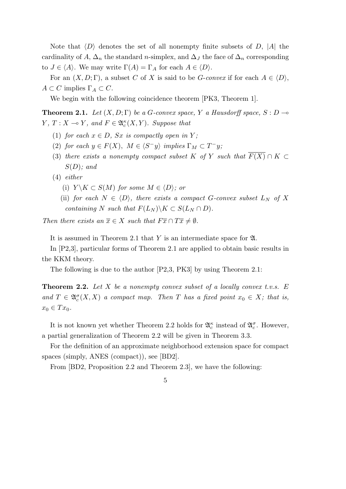Note that *⟨D⟩* denotes the set of all nonempty finite subsets of *D*, *|A|* the cardinality of *A*,  $\Delta_n$  the standard *n*-simplex, and  $\Delta_J$  the face of  $\Delta_n$  corresponding to  $J \in \langle A \rangle$ . We may write  $\Gamma(A) = \Gamma_A$  for each  $A \in \langle D \rangle$ .

For an  $(X, D; \Gamma)$ , a subset *C* of *X* is said to be *G*-*convex* if for each  $A \in \langle D \rangle$ ,  $A \subset C$  implies  $\Gamma_A \subset C$ .

We begin with the following coincidence theorem [PK3, Theorem 1].

**Theorem 2.1.** *Let*  $(X, D; \Gamma)$  *be a G-convex space,*  $Y$  *a Hausdorff space,*  $S: D \rightarrow$ *Y*, *T* : *X*  $\multimap$  *Y*, and *F*  $\in \mathfrak{A}_c^{\kappa}(X, Y)$ *. Suppose that* 

- (1) *for each*  $x \in D$ *, Sx is compactly open in*  $Y$ *;*
- (2) *for each*  $y \in F(X)$ ,  $M \in \langle S^-y \rangle$  *implies*  $\Gamma_M \subset T^-y$ ;
- (3) *there exists a nonempty compact subset K of Y such that*  $\overline{F(X)} \cap K \subset$ *S*(*D*)*; and*
- (4) *either*
	- (i)  $Y \setminus K \subset S(M)$  *for some*  $M \in \langle D \rangle$ *; or*
	- (ii) *for each*  $N \in \langle D \rangle$ *, there exists a compact G*-convex subset  $L_N$  *of X containing N such that*  $F(L_N) \backslash K \subset S(L_N \cap D)$ .

*Then there exists an*  $\overline{x} \in X$  *such that*  $F\overline{x} \cap T\overline{x} \neq \emptyset$ *.* 

It is assumed in Theorem 2.1 that *Y* is an intermediate space for A.

In [P2,3], particular forms of Theorem 2.1 are applied to obtain basic results in the KKM theory.

The following is due to the author [P2,3, PK3] by using Theorem 2.1:

**Theorem 2.2.** *Let X be a nonempty convex subset of a locally convex t.v.s. E and*  $T \in \mathfrak{A}_{c}^{\sigma}(X, X)$  *a compact map. Then T has a fixed point*  $x_0 \in X$ *; that is,*  $x_0 \in Tx_0$ .

It is not known yet whether Theorem 2.2 holds for  $\mathfrak{A}_{c}^{\kappa}$  instead of  $\mathfrak{A}_{c}^{\sigma}$ . However, a partial generalization of Theorem 2.2 will be given in Theorem 3.3.

For the definition of an approximate neighborhood extension space for compact spaces (simply, ANES (compact)), see [BD2].

From [BD2, Proposition 2.2 and Theorem 2.3], we have the following: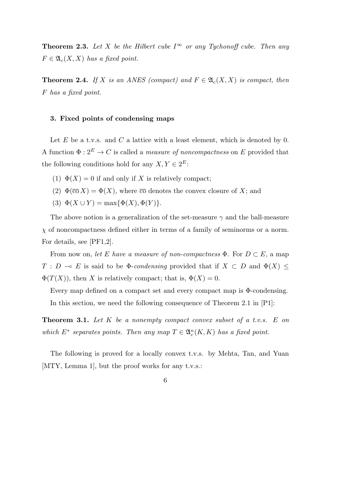**Theorem 2.3.** Let *X* be the Hilbert cube  $I^{\infty}$  or any Tychonoff cube. Then any  $F \in \mathfrak{A}_{c}(X, X)$  *has a fixed point.* 

**Theorem 2.4.** *If X is an ANES* (compact) and  $F \in \mathfrak{A}_c(X,X)$  *is compact, then F has a fixed point.*

### **3. Fixed points of condensing maps**

Let *E* be a t.v.s. and *C* a lattice with a least element, which is denoted by 0. A function  $\Phi: 2^E \to C$  is called a *measure of noncompactness* on *E* provided that the following conditions hold for any  $X, Y \in 2^E$ :

- (1)  $\Phi(X) = 0$  if and only if X is relatively compact;
- (2)  $\Phi(\overline{co} X) = \Phi(X)$ , where  $\overline{co}$  denotes the convex closure of X; and
- (3)  $\Phi(X \cup Y) = \max{\{\Phi(X), \Phi(Y)\}}$ .

The above notion is a generalization of the set-measure *γ* and the ball-measure *χ* of noncompactness defined either in terms of a family of seminorms or a norm. For details, see [PF1,2].

From now on, *let E have a measure of non-compactness*  $\Phi$ . For  $D \subset E$ , a map *T* : *D*  $\multimap$  *E* is said to be  $\Phi$ -*condensing* provided that if *X*  $\subset$  *D* and  $\Phi$ (*X*)  $\leq$  $\Phi(T(X))$ , then *X* is relatively compact; that is,  $\Phi(X) = 0$ .

Every map defined on a compact set and every compact map is Φ-condensing. In this section, we need the following consequence of Theorem 2.1 in [P1]:

**Theorem 3.1.** *Let K be a nonempty compact convex subset of a t.v.s. E on which*  $E^*$  separates points. Then any map  $T \in \mathfrak{A}_c^{\kappa}(K,K)$  has a fixed point.

The following is proved for a locally convex t.v.s. by Mehta, Tan, and Yuan [MTY, Lemma 1], but the proof works for any t.v.s.: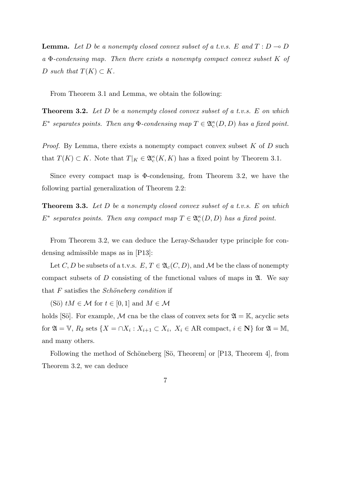**Lemma.** Let D be a nonempty closed convex subset of a t.v.s. E and  $T: D \to D$ *a* Φ*-condensing map. Then there exists a nonempty compact convex subset K of*  $D \text{ such that } T(K) \subset K$ .

From Theorem 3.1 and Lemma, we obtain the following:

**Theorem 3.2.** *Let D be a nonempty closed convex subset of a t.v.s. E on which*  $E^*$  separates points. Then any  $\Phi$ -condensing map  $T \in \mathfrak{A}_c^{\kappa}(D, D)$  has a fixed point.

*Proof.* By Lemma, there exists a nonempty compact convex subset *K* of *D* such that  $T(K) \subset K$ . Note that  $T|_K \in \mathfrak{A}_c^{\kappa}(K, K)$  has a fixed point by Theorem 3.1.

Since every compact map is  $\Phi$ -condensing, from Theorem 3.2, we have the following partial generalization of Theorem 2.2:

**Theorem 3.3.** *Let D be a nonempty closed convex subset of a t.v.s. E on which*  $E^*$  separates points. Then any compact map  $T \in \mathfrak{A}_c^{\kappa}(D, D)$  has a fixed point.

From Theorem 3.2, we can deduce the Leray-Schauder type principle for condensing admissible maps as in [P13]:

Let *C*, *D* be subsets of a t.v.s.  $E, T \in \mathfrak{A}_{c}(C, D)$ , and *M* be the class of nonempty compact subsets of  $D$  consisting of the functional values of maps in  $\mathfrak{A}$ . We say that *F* satisfies the *Schöneberg condition* if

(Sö)  $tM \in \mathcal{M}$  for  $t \in [0,1]$  and  $M \in \mathcal{M}$ 

holds [Sö]. For example, M cna be the class of convex sets for  $\mathfrak{A} = \mathbb{K}$ , acyclic sets for  $\mathfrak{A} = \mathbb{V}$ ,  $R_{\delta}$  sets  $\{X = \cap X_i : X_{i+1} \subset X_i, X_i \in \text{AR compact}, i \in \mathbb{N}\}\)$  for  $\mathfrak{A} = \mathbb{M}$ , and many others.

Following the method of Schöneberg [Sö, Theorem] or [P13, Theorem 4], from Theorem 3.2, we can deduce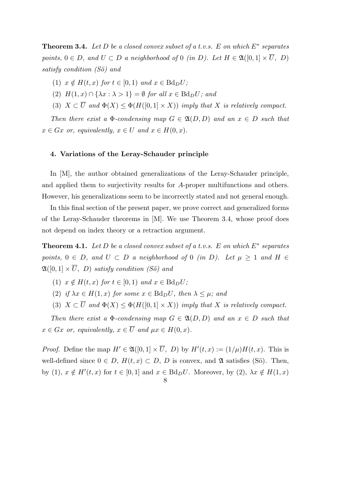**Theorem 3.4.** *Let D be a closed convex subset of a t.v.s. E on which E<sup>∗</sup> separates points,*  $0 \in D$ *, and*  $U \subset D$  *a neighborhood of* 0 *(in D*). Let  $H \in \mathfrak{A}([0,1] \times \overline{U}, D)$ *satisfy condition (S¨o) and*

- $(1)$   $x \notin H(t, x)$  *for*  $t \in [0, 1)$  *and*  $x \in \text{Bd}_D U$ ;
- (2)  $H(1, x) \cap {\lambda x : \lambda > 1} = \emptyset$  *for all*  $x \in \text{Bd}_D U$ *; and*
- (3)  $X \subset \overline{U}$  and  $\Phi(X) \leq \Phi(H([0,1] \times X))$  *imply that X is relatively compact.*

*Then there exist a*  $\Phi$ -condensing map  $G \in \mathfrak{A}(D, D)$  and an  $x \in D$  such that  $x \in Gx$  *or, equivalently,*  $x \in U$  *and*  $x \in H(0, x)$ *.* 

#### **4. Variations of the Leray-Schauder principle**

In [M], the author obtained generalizations of the Leray-Schauder principle, and applied them to surjectivity results for *A*-proper multifunctions and others. However, his generalizations seem to be incorrectly stated and not general enough.

In this final section of the present paper, we prove correct and generalized forms of the Leray-Schauder theorems in [M]. We use Theorem 3.4, whose proof does not depend on index theory or a retraction argument.

**Theorem 4.1.** *Let D be a closed convex subset of a t.v.s. E on which E<sup>∗</sup> separates points,*  $0 \in D$ *, and*  $U \subset D$  *a neighborhood of* 0 *(in D).* Let  $\mu > 1$  *and*  $H \in$  $\mathfrak{A}([0,1] \times \overline{U}, D)$  *satisfy condition (Sö) and* 

- $(1)$   $x \notin H(t, x)$  *for*  $t \in [0, 1)$  *and*  $x \in Bd_D U$ ;
- (2) *if*  $\lambda x \in H(1, x)$  *for some*  $x \in \text{Bd}_D U$ *, then*  $\lambda \leq \mu$ *; and*
- (3)  $X \subset \overline{U}$  and  $\Phi(X) \leq \Phi(H([0,1] \times X))$  *imply that X is relatively compact.*

*Then there exist a*  $\Phi$ -condensing map  $G \in \mathfrak{A}(D, D)$  and an  $x \in D$  such that  $x \in Gx$  *or, equivalently,*  $x \in \overline{U}$  *and*  $\mu x \in H(0, x)$ *.* 

*Proof.* Define the map  $H' \in \mathfrak{A}([0,1] \times U, D)$  by  $H'(t,x) := (1/\mu)H(t,x)$ . This is well-defined since  $0 \in D$ ,  $H(t, x) \subset D$ ,  $D$  is convex, and  $\mathfrak{A}$  satisfies (Sö). Then, by (1),  $x \notin H'(t, x)$  for  $t \in [0, 1]$  and  $x \in Bd_D U$ . Moreover, by (2),  $\lambda x \notin H(1, x)$ 

8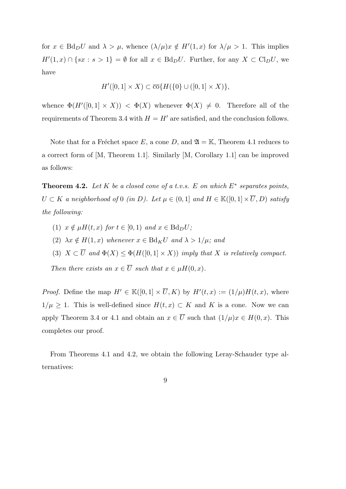for  $x \in \text{Bd}_D U$  and  $\lambda > \mu$ , whence  $(\lambda/\mu)x \notin H'(1,x)$  for  $\lambda/\mu > 1$ . This implies *H*<sup>′</sup>(1,*x*) ∩ {*sx* : *s* > 1} =  $\emptyset$  for all *x* ∈ Bd*pU*. Further, for any *X* ⊂ Cl<sub>*D</sub>U*, we</sub> have

$$
H'([0,1] \times X) \subset \overline{\text{co}}\{H(\{0\} \cup ([0,1] \times X)\},\
$$

whence  $\Phi(H'([0,1] \times X)) < \Phi(X)$  whenever  $\Phi(X) \neq 0$ . Therefore all of the requirements of Theorem 3.4 with  $H = H'$  are satisfied, and the conclusion follows.

Note that for a Fréchet space *E*, a cone *D*, and  $\mathfrak{A} = \mathbb{K}$ , Theorem 4.1 reduces to a correct form of [M, Theorem 1.1]. Similarly [M, Corollary 1.1] can be improved as follows:

**Theorem 4.2.** *Let K be a closed cone of a t.v.s. E on which E<sup>∗</sup> separates points, U* ⊂ *K a neighborhood of* 0 *(in D*). Let  $\mu \in (0,1]$  and  $H \in \mathbb{K}([0,1] \times \overline{U}, D)$  satisfy *the following:*

- $(1)$   $x \notin \mu H(t, x)$  *for*  $t \in [0, 1)$  *and*  $x \in \text{Bd}_D U$ ;
- $(2)$   $\lambda x \notin H(1, x)$  whenever  $x \in Bd_K U$  and  $\lambda > 1/\mu$ ; and
- (3)  $X \subset \overline{U}$  and  $\Phi(X) \leq \Phi(H([0,1] \times X))$  *imply that X is relatively compact.*

*Then there exists an*  $x \in \overline{U}$  *such that*  $x \in \mu H(0, x)$ *.* 

*Proof.* Define the map  $H' \in K([0,1] \times U, K)$  by  $H'(t,x) := (1/\mu)H(t,x)$ , where 1/ $\mu$  ≥ 1. This is well-defined since  $H(t, x)$  ⊂ *K* and *K* is a cone. Now we can apply Theorem 3.4 or 4.1 and obtain an  $x \in \overline{U}$  such that  $(1/\mu)x \in H(0, x)$ . This completes our proof.

From Theorems 4.1 and 4.2, we obtain the following Leray-Schauder type alternatives:

9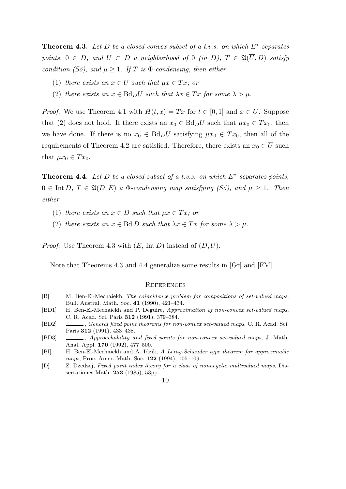**Theorem 4.3.** *Let D be a closed convex subset of a t.v.s. on which E<sup>∗</sup> separates points,*  $0 \in D$ *, and*  $U \subset D$  *a neighborhood of*  $0$  *(in*  $D$ *),*  $T \in \mathfrak{A}(\overline{U}, D)$  *satisfy condition (Sö), and*  $\mu > 1$ *. If T is*  $\Phi$ *-condensing, then either* 

- (1) *there exists an*  $x \in U$  *such that*  $\mu x \in Tx$ *; or*
- (2) *there exists an*  $x \in \text{Bd}_D U$  *such that*  $\lambda x \in Tx$  *for some*  $\lambda > \mu$ *.*

*Proof.* We use Theorem 4.1 with  $H(t, x) = Tx$  for  $t \in [0, 1]$  and  $x \in \overline{U}$ . Suppose that (2) does not hold. If there exists an  $x_0 \in \text{Bd}_D U$  such that  $\mu x_0 \in Tx_0$ , then we have done. If there is no  $x_0 \in \text{Bd}_D U$  satisfying  $\mu x_0 \in Tx_0$ , then all of the requirements of Theorem 4.2 are satisfied. Therefore, there exists an  $x_0 \in \overline{U}$  such that  $\mu x_0 \in Tx_0$ .

**Theorem 4.4.** *Let D be a closed subset of a t.v.s. on which E<sup>∗</sup> separates points,*  $0 \in \text{Int } D$ ,  $T \in \mathfrak{A}(D, E)$  a  $\Phi$ -condensing map satisfying (Sö), and  $\mu \geq 1$ . Then *either*

- (1) *there exists an*  $x \in D$  *such that*  $\mu x \in Tx$ *; or*
- (2) *there exists an*  $x \in \text{Bd}$  *D such that*  $\lambda x \in Tx$  *for some*  $\lambda > \mu$ *.*

*Proof.* Use Theorem 4.3 with (*E,* Int *D*) instead of (*D, U*).

Note that Theorems 4.3 and 4.4 generalize some results in [Gr] and [FM].

#### **REFERENCES**

- [B] M. Ben-El-Mechaiekh, *The coincidence problem for compositions of set-valued maps*, Bull. Austral. Math. Soc. **41** (1990), 421–434.
- [BD1] H. Ben-El-Mechaiekh and P. Deguire, *Approximation of non-convex set-valued maps*, C. R. Acad. Sci. Paris **312** (1991), 379–384.
- [BD2] , *General fixed point theorems for non-convex set-valued maps*, C. R. Acad. Sci. Paris **312** (1991), 433–438.
- [BD3] , *Approachability and fixed points for non-convex set-valued maps*, J. Math. Anal. Appl. **170** (1992), 477–500.
- [BI] H. Ben-El-Mechaiekh and A. Idzik, *A Leray-Schauder type theorem for approximable maps*, Proc. Amer. Math. Soc. **122** (1994), 105–109.
- [D] Z. Dzedzej, *Fixed point index theory for a class of nonacyclic multivalued maps*, Dissertationes Math. **253** (1985), 53pp.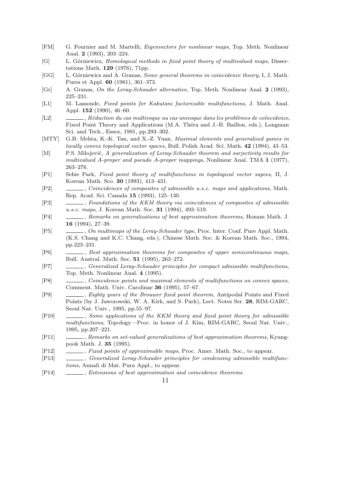- [FM] G. Fournier and M. Martelli, *Eigenvectors for nonlinear maps*, Top. Meth. Nonlinear Anal. **2** (1993), 203–224.
- [G] L. Górniewicz, *Homological methods in fixed point theory of multivalued maps*, Dissertations Math. **129** (1976), 71pp.
- [GG] L. Górniewicz and A. Granas, *Some general theorems in coincidence theory*, I, J. Math. Pures et Appl. **60** (1981), 361–373.
- [Gr] A. Granas, *On the Leray-Schauder alternative*, Top. Meth. Nonlinear Anal. **2** (1993), 225–231.
- [L1] M. Lassonde, *Fixed points for Kakutani factorizable multifunctions*, J. Math. Anal. Appl. **152** (1990), 46–60.
- [L2] , *Réduction du cas multivoque au cas univoque dans les problèmes de coïncidence*, Fixed Point Theory and Applications (M.A. Théra and J.-B. Baillon, eds.), Longman Sci. and Tech., Essex, 1991, pp.293–302.
- [MTY] G.B. Mehta, K.-K. Tan, and X.-Z. Yuan, *Maximal elements and generalized games in locally convex topological vector spaces*, Bull. Polish Acad. Sci. Math. **42** (1994), 43–53.
- [M] P.S. Milojević, *A generalization of Leray-Schauder theorem and surjectivity results for multivalued A-proper and pseudo A-proper mappings*, Nonlinear Anal. TMA **1** (1977), 263–276.
- [P1] Sehie Park, *Fixed point theory of multifunctions in topological vector sapces*, II, J. Korean Math. Sco. **30** (1993), 413–431.
- [P2] , *Coincidences of composites of admissible u.s.c. maps and applications*, Math. Rep. Acad. Sci. Canada **15** (1993), 125–130.
- [P3] , *Foundations of the KKM theory via coincidences of composites of admissible u.s.c. maps*, J. Korean Math. Soc. **31** (1994), 493–519.
- [P4] , *Remarks on generalizations of best approximation theorems*, Honam Math. J. **16** (1994), 27–39.
- [P5] , *On multimaps of the Leray-Schauder type*, Proc. Inter. Conf. Pure Appl. Math. (K.S. Chang and K.C. Chang, eds.), Chinese Math. Soc. & Korean Math. Soc., 1994, pp.223–231.
- [P6] , *Best approximation theorems for composites of upper semicontinuous maps*, Bull. Austral. Math. Soc. **51** (1995), 263–272.
- [P7] , *Generalized Leray-Schauder principles for compact admissible multifunctions*, Top. Meth. Nonlinear Anal. **4** (1995).
- [P8] , *Coincidence points and maximal elements of multifunctions on convex spaces*, Comment. Math. Univ. Carolinae **36** (1995), 57–67.
- [P9] , *Eighty years of the Brouwer fixed point theorem*, Antipodal Points and Fixed Points (by J. Jaworowski, W. A. Kirk, and S. Park), Lect. Notes Ser. **28**, RIM-GARC, Seoul Nat. Univ., 1995, pp.55–97.
- [P10] , *Some applications of the KKM theory and fixed point theory for admissible multifunctions*, Topology—Proc. in honor of J. Kim, RIM-GARC, Seoul Nat. Univ., 1995, pp.207–221.
- [P11] , *Remarks on set-valued generalizations of best approximation theorems*, Kyungpook Math. J. **35** (1995).
- [P12] , *Fixed points of approximable maps*, Proc. Amer. Math. Soc., to appear.
- [P13] , *Generalized Leray-Schauder principles for condensing admissible multifunctions*, Annali di Mat. Pura Appl., to appear.
- [P14] , *Extensions of best approximation and coincidence theorems*.